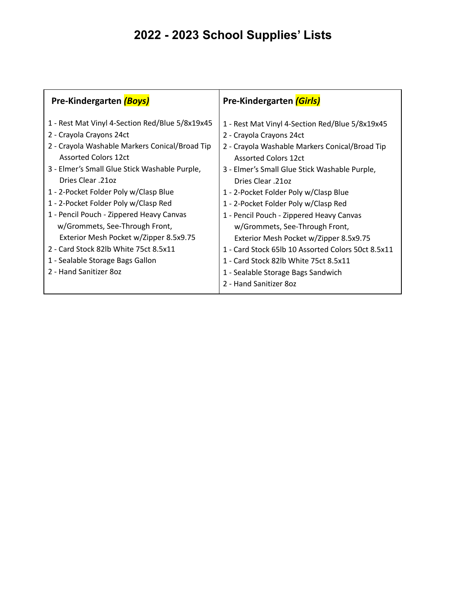| Pre-Kindergarten (Boys)                                                                                                                                                                                                                                                                                                                                                                                                                                                                                                                            | <b>Pre-Kindergarten (Girls)</b>                                                                                                                                                                                                                                                                                                                                                                                                                                                                                                                                                                            |
|----------------------------------------------------------------------------------------------------------------------------------------------------------------------------------------------------------------------------------------------------------------------------------------------------------------------------------------------------------------------------------------------------------------------------------------------------------------------------------------------------------------------------------------------------|------------------------------------------------------------------------------------------------------------------------------------------------------------------------------------------------------------------------------------------------------------------------------------------------------------------------------------------------------------------------------------------------------------------------------------------------------------------------------------------------------------------------------------------------------------------------------------------------------------|
| 1 - Rest Mat Vinyl 4-Section Red/Blue 5/8x19x45<br>2 - Crayola Crayons 24ct<br>2 - Crayola Washable Markers Conical/Broad Tip<br><b>Assorted Colors 12ct</b><br>3 - Elmer's Small Glue Stick Washable Purple,<br>Dries Clear .21oz<br>1 - 2-Pocket Folder Poly w/Clasp Blue<br>1 - 2-Pocket Folder Poly w/Clasp Red<br>1 - Pencil Pouch - Zippered Heavy Canvas<br>w/Grommets, See-Through Front,<br>Exterior Mesh Pocket w/Zipper 8.5x9.75<br>2 - Card Stock 82lb White 75ct 8.5x11<br>1 - Sealable Storage Bags Gallon<br>2 - Hand Sanitizer 80z | 1 - Rest Mat Vinyl 4-Section Red/Blue 5/8x19x45<br>2 - Crayola Crayons 24ct<br>2 - Crayola Washable Markers Conical/Broad Tip<br><b>Assorted Colors 12ct</b><br>3 - Elmer's Small Glue Stick Washable Purple,<br>Dries Clear .21oz<br>1 - 2-Pocket Folder Poly w/Clasp Blue<br>1 - 2-Pocket Folder Poly w/Clasp Red<br>1 - Pencil Pouch - Zippered Heavy Canvas<br>w/Grommets, See-Through Front,<br>Exterior Mesh Pocket w/Zipper 8.5x9.75<br>1 - Card Stock 65lb 10 Assorted Colors 50ct 8.5x11<br>1 - Card Stock 82lb White 75ct 8.5x11<br>1 - Sealable Storage Bags Sandwich<br>2 - Hand Sanitizer 80z |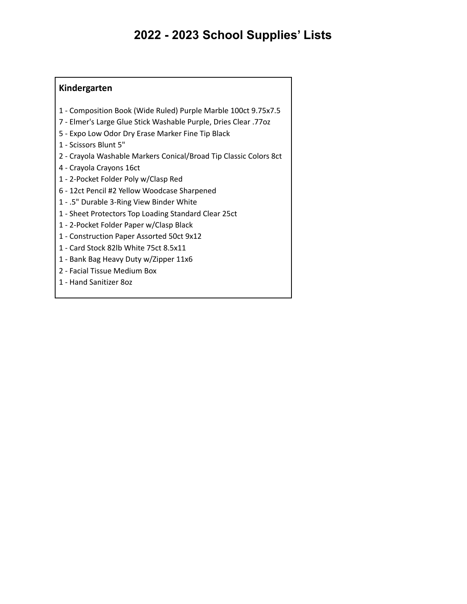#### **Kindergarten**

- Composition Book (Wide Ruled) Purple Marble 100ct 9.75x7.5
- Elmer's Large Glue Stick Washable Purple, Dries Clear .77oz
- Expo Low Odor Dry Erase Marker Fine Tip Black
- Scissors Blunt 5"
- Crayola Washable Markers Conical/Broad Tip Classic Colors 8ct
- Crayola Crayons 16ct
- 2-Pocket Folder Poly w/Clasp Red
- 12ct Pencil #2 Yellow Woodcase Sharpened
- .5" Durable 3-Ring View Binder White
- Sheet Protectors Top Loading Standard Clear 25ct
- 2-Pocket Folder Paper w/Clasp Black
- Construction Paper Assorted 50ct 9x12
- Card Stock 82lb White 75ct 8.5x11
- Bank Bag Heavy Duty w/Zipper 11x6
- Facial Tissue Medium Box
- Hand Sanitizer 8oz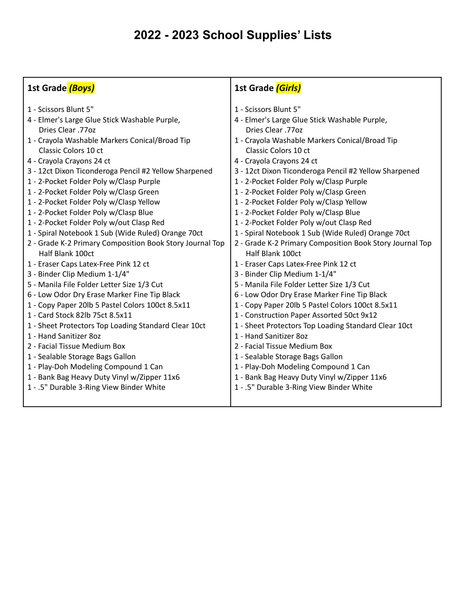| 1 - Scissors Blunt 5"<br>1 - Scissors Blunt 5"<br>4 - Elmer's Large Glue Stick Washable Purple,<br>4 - Elmer's Large Glue Stick Washable Purple,<br>Dries Clear .77oz<br>Dries Clear .77oz<br>1 - Crayola Washable Markers Conical/Broad Tip<br>1 - Crayola Washable Markers Conical/Broad Tip<br>Classic Colors 10 ct<br>Classic Colors 10 ct<br>4 - Crayola Crayons 24 ct<br>4 - Crayola Crayons 24 ct<br>3 - 12ct Dixon Ticonderoga Pencil #2 Yellow Sharpened<br>3 - 12ct Dixon Ticonderoga Pencil #2 Yellow Sharpened                                                                                                                                                                                                                                                                                                                                                                                                                                                                                                                                                                                                                                                                                                                                                                                                                                                                                                                                                                                                                                                                                                                                                                                                                                                                                                                   |  |
|----------------------------------------------------------------------------------------------------------------------------------------------------------------------------------------------------------------------------------------------------------------------------------------------------------------------------------------------------------------------------------------------------------------------------------------------------------------------------------------------------------------------------------------------------------------------------------------------------------------------------------------------------------------------------------------------------------------------------------------------------------------------------------------------------------------------------------------------------------------------------------------------------------------------------------------------------------------------------------------------------------------------------------------------------------------------------------------------------------------------------------------------------------------------------------------------------------------------------------------------------------------------------------------------------------------------------------------------------------------------------------------------------------------------------------------------------------------------------------------------------------------------------------------------------------------------------------------------------------------------------------------------------------------------------------------------------------------------------------------------------------------------------------------------------------------------------------------------|--|
| 1 - 2-Pocket Folder Poly w/Clasp Purple<br>1 - 2-Pocket Folder Poly w/Clasp Purple<br>1 - 2-Pocket Folder Poly w/Clasp Green<br>1 - 2-Pocket Folder Poly w/Clasp Green<br>1 - 2-Pocket Folder Poly w/Clasp Yellow<br>1 - 2-Pocket Folder Poly w/Clasp Yellow<br>1 - 2-Pocket Folder Poly w/Clasp Blue<br>1 - 2-Pocket Folder Poly w/Clasp Blue<br>1 - 2-Pocket Folder Poly w/out Clasp Red<br>1 - 2-Pocket Folder Poly w/out Clasp Red<br>1 - Spiral Notebook 1 Sub (Wide Ruled) Orange 70ct<br>1 - Spiral Notebook 1 Sub (Wide Ruled) Orange 70ct<br>2 - Grade K-2 Primary Composition Book Story Journal Top<br>2 - Grade K-2 Primary Composition Book Story Journal Top<br>Half Blank 100ct<br>Half Blank 100ct<br>1 - Eraser Caps Latex-Free Pink 12 ct<br>1 - Eraser Caps Latex-Free Pink 12 ct<br>3 - Binder Clip Medium 1-1/4"<br>3 - Binder Clip Medium 1-1/4"<br>5 - Manila File Folder Letter Size 1/3 Cut<br>5 - Manila File Folder Letter Size 1/3 Cut<br>6 - Low Odor Dry Erase Marker Fine Tip Black<br>6 - Low Odor Dry Erase Marker Fine Tip Black<br>1 - Copy Paper 20lb 5 Pastel Colors 100ct 8.5x11<br>1 - Copy Paper 20lb 5 Pastel Colors 100ct 8.5x11<br>1 - Card Stock 82lb 75ct 8.5x11<br>1 - Construction Paper Assorted 50ct 9x12<br>1 - Sheet Protectors Top Loading Standard Clear 10ct<br>1 - Sheet Protectors Top Loading Standard Clear 10ct<br>1 - Hand Sanitizer 80z<br>1 - Hand Sanitizer 80z<br>2 - Facial Tissue Medium Box<br>2 - Facial Tissue Medium Box<br>1 - Sealable Storage Bags Gallon<br>1 - Sealable Storage Bags Gallon<br>1 - Play-Doh Modeling Compound 1 Can<br>1 - Play-Doh Modeling Compound 1 Can<br>1 - Bank Bag Heavy Duty Vinyl w/Zipper 11x6<br>1 - Bank Bag Heavy Duty Vinyl w/Zipper 11x6<br>1 - .5" Durable 3-Ring View Binder White<br>1 - .5" Durable 3-Ring View Binder White |  |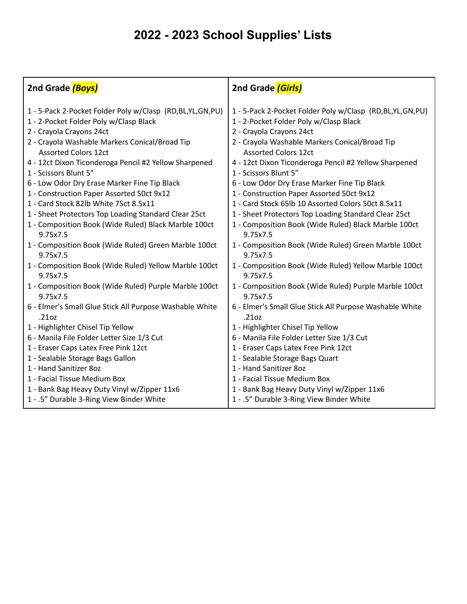| 2nd Grade (Boys)                                                                                   | 2nd Grade (Girls)                                                                                  |
|----------------------------------------------------------------------------------------------------|----------------------------------------------------------------------------------------------------|
| 1 - 5-Pack 2-Pocket Folder Poly w/Clasp (RD,BL,YL,GN,PU)<br>1 - 2-Pocket Folder Poly w/Clasp Black | 1 - 5-Pack 2-Pocket Folder Poly w/Clasp (RD,BL,YL,GN,PU)<br>1 - 2-Pocket Folder Poly w/Clasp Black |
| 2 - Crayola Crayons 24ct                                                                           | 2 - Crayola Crayons 24ct                                                                           |
| 2 - Crayola Washable Markers Conical/Broad Tip<br><b>Assorted Colors 12ct</b>                      | 2 - Crayola Washable Markers Conical/Broad Tip<br><b>Assorted Colors 12ct</b>                      |
| 4 - 12ct Dixon Ticonderoga Pencil #2 Yellow Sharpened                                              | 4 - 12ct Dixon Ticonderoga Pencil #2 Yellow Sharpened                                              |
| 1 - Scissors Blunt 5"                                                                              | 1 - Scissors Blunt 5"                                                                              |
| 6 - Low Odor Dry Erase Marker Fine Tip Black                                                       | 6 - Low Odor Dry Erase Marker Fine Tip Black                                                       |
| 1 - Construction Paper Assorted 50ct 9x12                                                          | 1 - Construction Paper Assorted 50ct 9x12                                                          |
| 1 - Card Stock 82lb White 75ct 8.5x11                                                              | 1 - Card Stock 65lb 10 Assorted Colors 50ct 8.5x11                                                 |
| 1 - Sheet Protectors Top Loading Standard Clear 25ct                                               | 1 - Sheet Protectors Top Loading Standard Clear 25ct                                               |
| 1 - Composition Book (Wide Ruled) Black Marble 100ct<br>9.75x7.5                                   | 1 - Composition Book (Wide Ruled) Black Marble 100ct<br>9.75x7.5                                   |
| 1 - Composition Book (Wide Ruled) Green Marble 100ct<br>9.75x7.5                                   | 1 - Composition Book (Wide Ruled) Green Marble 100ct<br>9.75x7.5                                   |
| 1 - Composition Book (Wide Ruled) Yellow Marble 100ct<br>9.75x7.5                                  | 1 - Composition Book (Wide Ruled) Yellow Marble 100ct<br>9.75x7.5                                  |
| 1 - Composition Book (Wide Ruled) Purple Marble 100ct<br>9.75x7.5                                  | 1 - Composition Book (Wide Ruled) Purple Marble 100ct<br>9.75x7.5                                  |
| 6 - Elmer's Small Glue Stick All Purpose Washable White<br>.21oz                                   | 6 - Elmer's Small Glue Stick All Purpose Washable White<br>.21oz                                   |
| 1 - Highlighter Chisel Tip Yellow                                                                  | 1 - Highlighter Chisel Tip Yellow                                                                  |
| 6 - Manila File Folder Letter Size 1/3 Cut                                                         | 6 - Manila File Folder Letter Size 1/3 Cut                                                         |
| 1 - Eraser Caps Latex Free Pink 12ct                                                               | 1 - Eraser Caps Latex Free Pink 12ct                                                               |
| 1 - Sealable Storage Bags Gallon                                                                   | 1 - Sealable Storage Bags Quart                                                                    |
| 1 - Hand Sanitizer 80z                                                                             | 1 - Hand Sanitizer 80z                                                                             |
| 1 - Facial Tissue Medium Box                                                                       | 1 - Facial Tissue Medium Box                                                                       |
| 1 - Bank Bag Heavy Duty Vinyl w/Zipper 11x6                                                        | 1 - Bank Bag Heavy Duty Vinyl w/Zipper 11x6                                                        |
| 1 - .5" Durable 3-Ring View Binder White                                                           | 1 - .5" Durable 3-Ring View Binder White                                                           |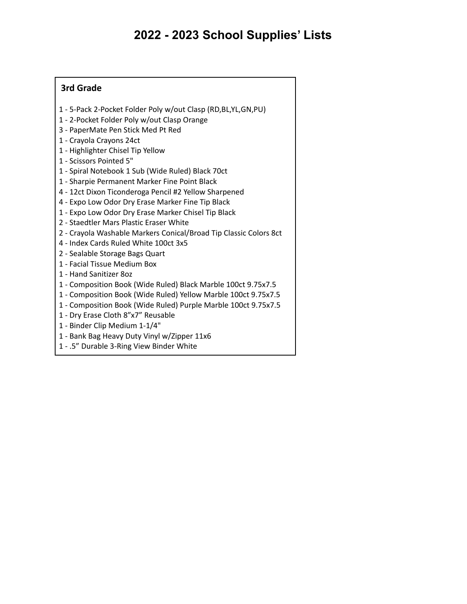#### **3rd Grade**

- 5-Pack 2-Pocket Folder Poly w/out Clasp (RD,BL,YL,GN,PU)
- 2-Pocket Folder Poly w/out Clasp Orange
- PaperMate Pen Stick Med Pt Red
- Crayola Crayons 24ct
- Highlighter Chisel Tip Yellow
- Scissors Pointed 5"
- Spiral Notebook 1 Sub (Wide Ruled) Black 70ct
- Sharpie Permanent Marker Fine Point Black
- 12ct Dixon Ticonderoga Pencil #2 Yellow Sharpened
- Expo Low Odor Dry Erase Marker Fine Tip Black
- Expo Low Odor Dry Erase Marker Chisel Tip Black
- Staedtler Mars Plastic Eraser White
- Crayola Washable Markers Conical/Broad Tip Classic Colors 8ct
- Index Cards Ruled White 100ct 3x5
- Sealable Storage Bags Quart
- Facial Tissue Medium Box
- Hand Sanitizer 8oz
- Composition Book (Wide Ruled) Black Marble 100ct 9.75x7.5
- Composition Book (Wide Ruled) Yellow Marble 100ct 9.75x7.5
- Composition Book (Wide Ruled) Purple Marble 100ct 9.75x7.5
- Dry Erase Cloth 8"x7" Reusable
- Binder Clip Medium 1-1/4"
- Bank Bag Heavy Duty Vinyl w/Zipper 11x6
- .5" Durable 3-Ring View Binder White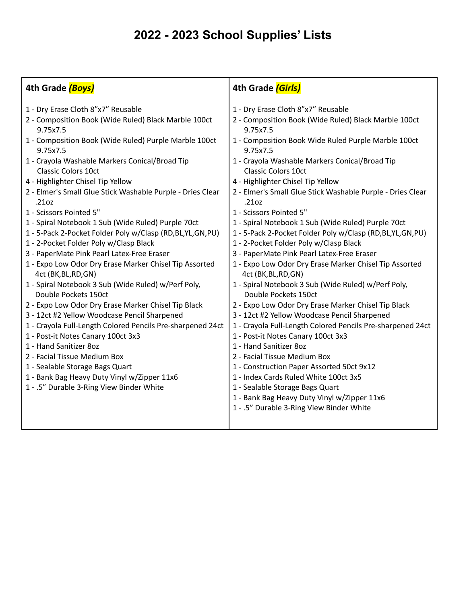| 4th Grade (Boys)                                                                                                                                                                                                                                                                                                                                                                                                                                                                                                                                                                                                                                                                                                                                                                                                                                                                                                                                                                                                                                                                                                                                                                     | 4th Grade (Girls)                                                                                                                                                                                                                                                                                                                                                                                                                                                                                                                                                                                                                                                                                                                                                                                                                                                                                                                                                                                                                                                                                                                                                                                                                                                    |
|--------------------------------------------------------------------------------------------------------------------------------------------------------------------------------------------------------------------------------------------------------------------------------------------------------------------------------------------------------------------------------------------------------------------------------------------------------------------------------------------------------------------------------------------------------------------------------------------------------------------------------------------------------------------------------------------------------------------------------------------------------------------------------------------------------------------------------------------------------------------------------------------------------------------------------------------------------------------------------------------------------------------------------------------------------------------------------------------------------------------------------------------------------------------------------------|----------------------------------------------------------------------------------------------------------------------------------------------------------------------------------------------------------------------------------------------------------------------------------------------------------------------------------------------------------------------------------------------------------------------------------------------------------------------------------------------------------------------------------------------------------------------------------------------------------------------------------------------------------------------------------------------------------------------------------------------------------------------------------------------------------------------------------------------------------------------------------------------------------------------------------------------------------------------------------------------------------------------------------------------------------------------------------------------------------------------------------------------------------------------------------------------------------------------------------------------------------------------|
| 1 - Dry Erase Cloth 8"x7" Reusable<br>2 - Composition Book (Wide Ruled) Black Marble 100ct<br>9.75x7.5<br>1 - Composition Book (Wide Ruled) Purple Marble 100ct<br>9.75x7.5<br>1 - Crayola Washable Markers Conical/Broad Tip<br><b>Classic Colors 10ct</b><br>4 - Highlighter Chisel Tip Yellow<br>2 - Elmer's Small Glue Stick Washable Purple - Dries Clear<br>.21oz<br>1 - Scissors Pointed 5"<br>1 - Spiral Notebook 1 Sub (Wide Ruled) Purple 70ct<br>1 - 5-Pack 2-Pocket Folder Poly w/Clasp (RD, BL, YL, GN, PU)<br>1 - 2-Pocket Folder Poly w/Clasp Black<br>3 - PaperMate Pink Pearl Latex-Free Eraser<br>1 - Expo Low Odor Dry Erase Marker Chisel Tip Assorted<br>4ct (BK, BL, RD, GN)<br>1 - Spiral Notebook 3 Sub (Wide Ruled) w/Perf Poly,<br>Double Pockets 150ct<br>2 - Expo Low Odor Dry Erase Marker Chisel Tip Black<br>3 - 12ct #2 Yellow Woodcase Pencil Sharpened<br>1 - Crayola Full-Length Colored Pencils Pre-sharpened 24ct<br>1 - Post-it Notes Canary 100ct 3x3<br>1 - Hand Sanitizer 80z<br>2 - Facial Tissue Medium Box<br>1 - Sealable Storage Bags Quart<br>1 - Bank Bag Heavy Duty Vinyl w/Zipper 11x6<br>1 - .5" Durable 3-Ring View Binder White | 1 - Dry Erase Cloth 8"x7" Reusable<br>2 - Composition Book (Wide Ruled) Black Marble 100ct<br>9.75x7.5<br>1 - Composition Book Wide Ruled Purple Marble 100ct<br>9.75x7.5<br>1 - Crayola Washable Markers Conical/Broad Tip<br><b>Classic Colors 10ct</b><br>4 - Highlighter Chisel Tip Yellow<br>2 - Elmer's Small Glue Stick Washable Purple - Dries Clear<br>.21oz<br>1 - Scissors Pointed 5"<br>1 - Spiral Notebook 1 Sub (Wide Ruled) Purple 70ct<br>1 - 5-Pack 2-Pocket Folder Poly w/Clasp (RD,BL,YL,GN,PU)<br>1 - 2-Pocket Folder Poly w/Clasp Black<br>3 - PaperMate Pink Pearl Latex-Free Eraser<br>1 - Expo Low Odor Dry Erase Marker Chisel Tip Assorted<br>4ct (BK, BL, RD, GN)<br>1 - Spiral Notebook 3 Sub (Wide Ruled) w/Perf Poly,<br>Double Pockets 150ct<br>2 - Expo Low Odor Dry Erase Marker Chisel Tip Black<br>3 - 12ct #2 Yellow Woodcase Pencil Sharpened<br>1 - Crayola Full-Length Colored Pencils Pre-sharpened 24ct<br>1 - Post-it Notes Canary 100ct 3x3<br>1 - Hand Sanitizer 80z<br>2 - Facial Tissue Medium Box<br>1 - Construction Paper Assorted 50ct 9x12<br>1 - Index Cards Ruled White 100ct 3x5<br>1 - Sealable Storage Bags Quart<br>1 - Bank Bag Heavy Duty Vinyl w/Zipper 11x6<br>1 - .5" Durable 3-Ring View Binder White |
|                                                                                                                                                                                                                                                                                                                                                                                                                                                                                                                                                                                                                                                                                                                                                                                                                                                                                                                                                                                                                                                                                                                                                                                      |                                                                                                                                                                                                                                                                                                                                                                                                                                                                                                                                                                                                                                                                                                                                                                                                                                                                                                                                                                                                                                                                                                                                                                                                                                                                      |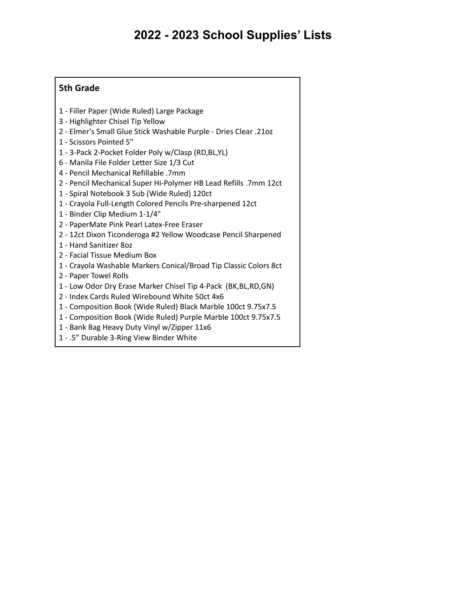#### **5th Grade**

- Filler Paper (Wide Ruled) Large Package
- Highlighter Chisel Tip Yellow
- Elmer's Small Glue Stick Washable Purple Dries Clear .21oz
- Scissors Pointed 5"
- 3-Pack 2-Pocket Folder Poly w/Clasp (RD,BL,YL)
- Manila File Folder Letter Size 1/3 Cut
- Pencil Mechanical Refillable .7mm
- Pencil Mechanical Super Hi-Polymer HB Lead Refills .7mm 12ct
- Spiral Notebook 3 Sub (Wide Ruled) 120ct
- Crayola Full-Length Colored Pencils Pre-sharpened 12ct
- Binder Clip Medium 1-1/4"
- PaperMate Pink Pearl Latex-Free Eraser
- 12ct Dixon Ticonderoga #2 Yellow Woodcase Pencil Sharpened
- Hand Sanitizer 8oz
- Facial Tissue Medium Box
- Crayola Washable Markers Conical/Broad Tip Classic Colors 8ct
- Paper Towel Rolls
- Low Odor Dry Erase Marker Chisel Tip 4-Pack (BK,BL,RD,GN)
- Index Cards Ruled Wirebound White 50ct 4x6
- Composition Book (Wide Ruled) Black Marble 100ct 9.75x7.5
- Composition Book (Wide Ruled) Purple Marble 100ct 9.75x7.5
- Bank Bag Heavy Duty Vinyl w/Zipper 11x6
- .5" Durable 3-Ring View Binder White